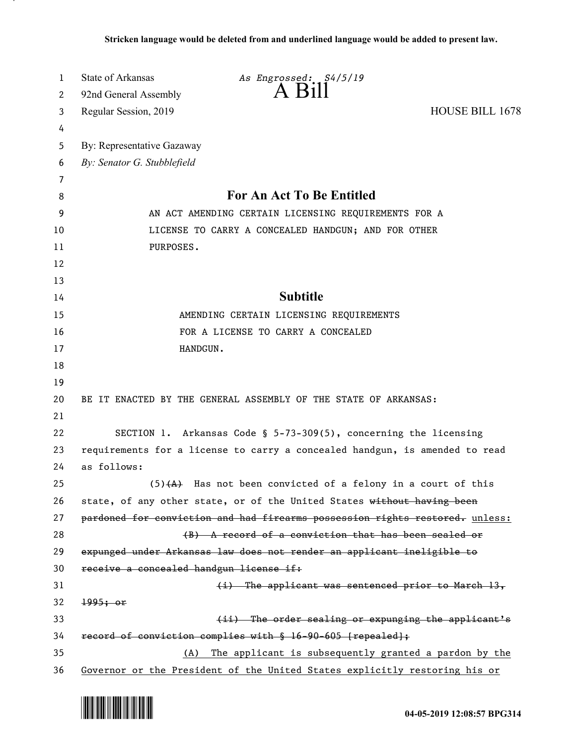| 1                     | <b>State of Arkansas</b>                                                    | As Engrossed: S4/5/19                                                        |                        |  |
|-----------------------|-----------------------------------------------------------------------------|------------------------------------------------------------------------------|------------------------|--|
| $\mathbf{2}^{\prime}$ | 92nd General Assembly                                                       | $A$ $H11$                                                                    |                        |  |
| 3                     | Regular Session, 2019                                                       |                                                                              | <b>HOUSE BILL 1678</b> |  |
| 4                     |                                                                             |                                                                              |                        |  |
| 5                     | By: Representative Gazaway                                                  |                                                                              |                        |  |
| 6                     | By: Senator G. Stubblefield                                                 |                                                                              |                        |  |
| 7                     |                                                                             |                                                                              |                        |  |
| 8                     | For An Act To Be Entitled                                                   |                                                                              |                        |  |
| 9                     | AN ACT AMENDING CERTAIN LICENSING REQUIREMENTS FOR A                        |                                                                              |                        |  |
| 10                    | LICENSE TO CARRY A CONCEALED HANDGUN; AND FOR OTHER                         |                                                                              |                        |  |
| 11                    | PURPOSES.                                                                   |                                                                              |                        |  |
| 12                    |                                                                             |                                                                              |                        |  |
| 13                    |                                                                             |                                                                              |                        |  |
| 14                    | <b>Subtitle</b>                                                             |                                                                              |                        |  |
| 15                    | AMENDING CERTAIN LICENSING REQUIREMENTS                                     |                                                                              |                        |  |
| 16                    | FOR A LICENSE TO CARRY A CONCEALED                                          |                                                                              |                        |  |
| 17                    | HANDGUN.                                                                    |                                                                              |                        |  |
| 18                    |                                                                             |                                                                              |                        |  |
| 19                    |                                                                             |                                                                              |                        |  |
| 20                    | BE IT ENACTED BY THE GENERAL ASSEMBLY OF THE STATE OF ARKANSAS:             |                                                                              |                        |  |
| 21                    |                                                                             |                                                                              |                        |  |
| 22                    | SECTION 1. Arkansas Code § 5-73-309(5), concerning the licensing            |                                                                              |                        |  |
| 23                    | requirements for a license to carry a concealed handgun, is amended to read |                                                                              |                        |  |
| 24                    | as follows:                                                                 |                                                                              |                        |  |
| 25                    |                                                                             | $(5)$ $(4)$ Has not been convicted of a felony in a court of this            |                        |  |
| 26                    |                                                                             | state, of any other state, or of the United States without having been       |                        |  |
| 27                    |                                                                             | pardoned for conviction and had firearms possession rights restored. unless: |                        |  |
| 28                    |                                                                             | (B) A record of a conviction that has been sealed or                         |                        |  |
| 29                    |                                                                             | expunged under Arkansas law does not render an applicant ineligible to       |                        |  |
| 30                    | receive a concealed handgun license if:                                     |                                                                              |                        |  |
| 31                    |                                                                             | (i) The applicant was sentenced prior to March 13,                           |                        |  |
| 32                    | 1995; or                                                                    |                                                                              |                        |  |
| 33                    |                                                                             | (ii) The order sealing or expunging the applicant's                          |                        |  |
| 34                    |                                                                             | record of conviction complies with § 16-90-605 [repealed];                   |                        |  |
| 35                    | The applicant is subsequently granted a pardon by the<br>(A)                |                                                                              |                        |  |
| 36                    | Governor or the President of the United States explicitly restoring his or  |                                                                              |                        |  |